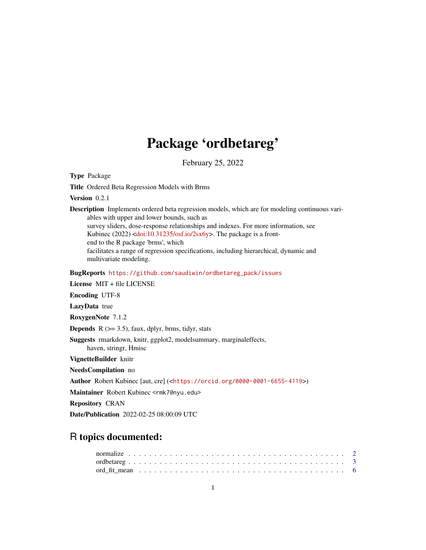## Package 'ordbetareg'

February 25, 2022

<span id="page-0-0"></span>Type Package

Title Ordered Beta Regression Models with Brms

Version 0.2.1

Description Implements ordered beta regression models, which are for modeling continuous variables with upper and lower bounds, such as survey sliders, dose-response relationships and indexes. For more information, see Kubinec (2022) [<doi:10.31235/osf.io/2sx6y>](https://doi.org/10.31235/osf.io/2sx6y). The package is a frontend to the R package 'brms', which facilitates a range of regression specifications, including hierarchical, dynamic and multivariate modeling.

BugReports [https://github.com/saudiwin/ordbetareg\\_pack/issues](https://github.com/saudiwin/ordbetareg_pack/issues)

License MIT + file LICENSE Encoding UTF-8 LazyData true RoxygenNote 7.1.2 **Depends**  $R$  ( $>= 3.5$ ), faux, dplyr, brms, tidyr, stats Suggests rmarkdown, knitr, ggplot2, modelsummary, marginaleffects, haven, stringr, Hmisc VignetteBuilder knitr NeedsCompilation no Author Robert Kubinec [aut, cre] (<<https://orcid.org/0000-0001-6655-4119>>) Maintainer Robert Kubinec <rmk7@nyu.edu> Repository CRAN Date/Publication 2022-02-25 08:00:09 UTC

### R topics documented: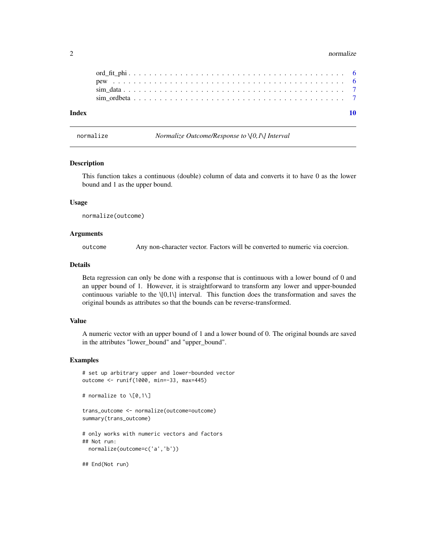#### <span id="page-1-0"></span>2 normalize the contract of the contract of the contract of the contract of the contract of the contract of the contract of the contract of the contract of the contract of the contract of the contract of the contract of th

<span id="page-1-1"></span>normalize *Normalize Outcome/Response to \[0,1\] Interval*

#### Description

This function takes a continuous (double) column of data and converts it to have 0 as the lower bound and 1 as the upper bound.

#### Usage

normalize(outcome)

#### **Arguments**

outcome Any non-character vector. Factors will be converted to numeric via coercion.

#### Details

Beta regression can only be done with a response that is continuous with a lower bound of 0 and an upper bound of 1. However, it is straightforward to transform any lower and upper-bounded continuous variable to the  $\{0,1\}$  interval. This function does the transformation and saves the original bounds as attributes so that the bounds can be reverse-transformed.

#### Value

A numeric vector with an upper bound of 1 and a lower bound of 0. The original bounds are saved in the attributes "lower\_bound" and "upper\_bound".

#### Examples

```
# set up arbitrary upper and lower-bounded vector
outcome <- runif(1000, min=-33, max=445)
```
# normalize to \[0,1\]

```
trans_outcome <- normalize(outcome=outcome)
summary(trans_outcome)
```

```
# only works with numeric vectors and factors
## Not run:
 normalize(outcome=c('a','b'))
```
## End(Not run)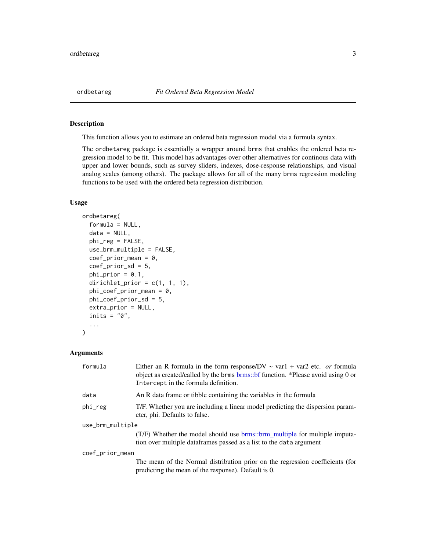<span id="page-2-0"></span>

#### Description

This function allows you to estimate an ordered beta regression model via a formula syntax.

The ordbetareg package is essentially a wrapper around brms that enables the ordered beta regression model to be fit. This model has advantages over other alternatives for continous data with upper and lower bounds, such as survey sliders, indexes, dose-response relationships, and visual analog scales (among others). The package allows for all of the many brms regression modeling functions to be used with the ordered beta regression distribution.

#### Usage

```
ordbetareg(
  formula = NULL,
  data = NULL,phi_reg = FALSE,
  use_brm_multiple = FALSE,
  coef\_prior\_mean = 0,
  coef_prior_sd = 5,
  phi\_prior = 0.1,
  dirichlet_prior = c(1, 1, 1),
  phi\_coef\_prior\_mean = 0,
 phi_coef_prior_sd = 5,
  extra_prior = NULL,
  inits = "0",...
)
```
#### Arguments

| formula          | Either an R formula in the form response/DV $\sim$ var1 + var2 etc. <i>or</i> formula<br>object as created/called by the brms brms: bf function. *Please avoid using 0 or<br>Intercept in the formula definition. |
|------------------|-------------------------------------------------------------------------------------------------------------------------------------------------------------------------------------------------------------------|
| data             | An R data frame or tibble containing the variables in the formula                                                                                                                                                 |
| phi_reg          | T/F. Whether you are including a linear model predicting the dispersion param-<br>eter, phi. Defaults to false.                                                                                                   |
| use_brm_multiple |                                                                                                                                                                                                                   |
|                  | (T/F) Whether the model should use brms::brm_multiple for multiple imputa-<br>tion over multiple data frames passed as a list to the data argument                                                                |
| coef_prior_mean  |                                                                                                                                                                                                                   |
|                  | The mean of the Normal distribution prior on the regression coefficients (for<br>predicting the mean of the response). Default is 0.                                                                              |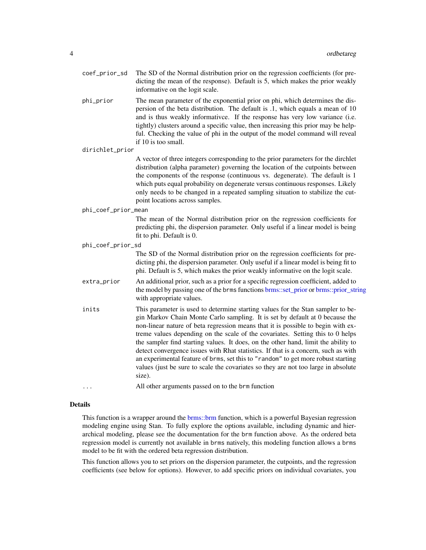- <span id="page-3-0"></span>coef\_prior\_sd The SD of the Normal distribution prior on the regression coefficients (for predicting the mean of the response). Default is 5, which makes the prior weakly informative on the logit scale.
- phi\_prior The mean parameter of the exponential prior on phi, which determines the dispersion of the beta distribution. The default is .1, which equals a mean of 10 and is thus weakly informativce. If the response has very low variance (i.e. tightly) clusters around a specific value, then increasing this prior may be helpful. Checking the value of phi in the output of the model command will reveal if 10 is too small.
- dirichlet\_prior

A vector of three integers corresponding to the prior parameters for the dirchlet distribution (alpha parameter) governing the location of the cutpoints between the components of the response (continuous vs. degenerate). The default is 1 which puts equal probability on degenerate versus continuous responses. Likely only needs to be changed in a repeated sampling situation to stabilize the cutpoint locations across samples.

#### phi\_coef\_prior\_mean

The mean of the Normal distribution prior on the regression coefficients for predicting phi, the dispersion parameter. Only useful if a linear model is being fit to phi. Default is 0.

phi\_coef\_prior\_sd

The SD of the Normal distribution prior on the regression coefficients for predicting phi, the dispersion parameter. Only useful if a linear model is being fit to phi. Default is 5, which makes the prior weakly informative on the logit scale.

- extra\_prior An additional prior, such as a prior for a specific regression coefficient, added to the model by passing one of the brms functions [brms::set\\_prior](#page-0-0) or [brms::prior\\_string](#page-0-0) with appropriate values.
- inits This parameter is used to determine starting values for the Stan sampler to begin Markov Chain Monte Carlo sampling. It is set by default at 0 because the non-linear nature of beta regression means that it is possible to begin with extreme values depending on the scale of the covariates. Setting this to 0 helps the sampler find starting values. It does, on the other hand, limit the ability to detect convergence issues with Rhat statistics. If that is a concern, such as with an experimental feature of brms, set this to "random" to get more robust starting values (just be sure to scale the covariates so they are not too large in absolute size).

... All other arguments passed on to the brm function

#### Details

This function is a wrapper around the [brms::brm](#page-0-0) function, which is a powerful Bayesian regression modeling engine using Stan. To fully explore the options available, including dynamic and hierarchical modeling, please see the documentation for the brm function above. As the ordered beta regression model is currently not available in brms natively, this modeling function allows a brms model to be fit with the ordered beta regression distribution.

This function allows you to set priors on the dispersion parameter, the cutpoints, and the regression coefficients (see below for options). However, to add specific priors on individual covariates, you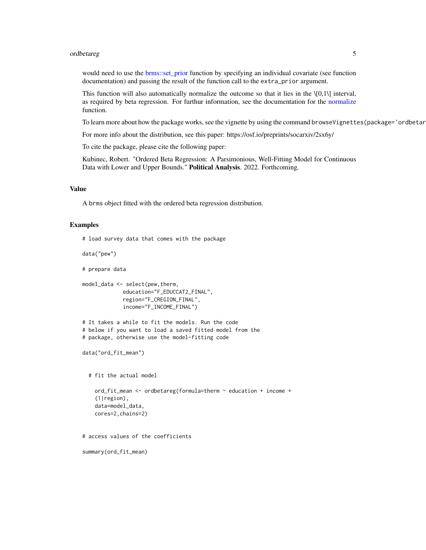#### <span id="page-4-0"></span>ordbetareg 5

would need to use the [brms::set\\_prior](#page-0-0) function by specifying an individual covariate (see function documentation) and passing the result of the function call to the extra\_prior argument.

This function will also automatically normalize the outcome so that it lies in the  $\{0,1\}$  interval, as required by beta regression. For furthur information, see the documentation for the [normalize](#page-1-1) function.

To learn more about how the package works, see the vignette by using the command browseVignettes(package='ordbetar

For more info about the distribution, see this paper: https://osf.io/preprints/socarxiv/2sx6y/

To cite the package, please cite the following paper:

Kubinec, Robert. "Ordered Beta Regression: A Parsimonious, Well-Fitting Model for Continuous Data with Lower and Upper Bounds." Political Analysis. 2022. Forthcoming.

#### Value

A brms object fitted with the ordered beta regression distribution.

#### Examples

```
# load survey data that comes with the package
data("pew")
# prepare data
model_data <- select(pew,therm,
             education="F_EDUCCAT2_FINAL",
             region="F_CREGION_FINAL",
             income="F_INCOME_FINAL")
# It takes a while to fit the models. Run the code
# below if you want to load a saved fitted model from the
# package, otherwise use the model-fitting code
data("ord_fit_mean")
 # fit the actual model
   ord_fit_mean <- ordbetareg(formula=therm ~ education + income +
    (1|region),
   data=model_data,
   cores=2,chains=2)
# access values of the coefficients
summary(ord_fit_mean)
```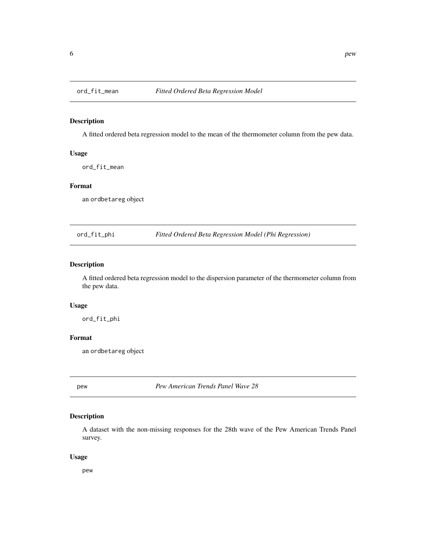<span id="page-5-0"></span>

#### Description

A fitted ordered beta regression model to the mean of the thermometer column from the pew data.

#### Usage

ord\_fit\_mean

#### Format

an ordbetareg object

ord\_fit\_phi *Fitted Ordered Beta Regression Model (Phi Regression)*

#### Description

A fitted ordered beta regression model to the dispersion parameter of the thermometer column from the pew data.

#### Usage

ord\_fit\_phi

#### Format

an ordbetareg object

pew *Pew American Trends Panel Wave 28*

#### Description

A dataset with the non-missing responses for the 28th wave of the Pew American Trends Panel survey.

#### Usage

pew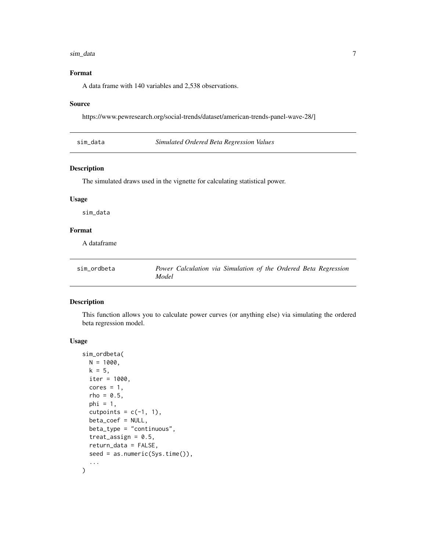#### <span id="page-6-0"></span>sim\_data 7

#### Format

A data frame with 140 variables and 2,538 observations.

#### Source

https://www.pewresearch.org/social-trends/dataset/american-trends-panel-wave-28/]

sim\_data *Simulated Ordered Beta Regression Values*

#### Description

The simulated draws used in the vignette for calculating statistical power.

#### Usage

sim\_data

#### Format

A dataframe

| sim ordbeta | Power Calculation via Simulation of the Ordered Beta Regression |
|-------------|-----------------------------------------------------------------|
|             | Model                                                           |

#### Description

This function allows you to calculate power curves (or anything else) via simulating the ordered beta regression model.

#### Usage

```
sim_ordbeta(
 N = 1000,k = 5,
 iter = 1000,
 cores = 1,
  rho = 0.5,
 phi = 1,
  cutpoints = c(-1, 1),beta_coef = NULL,
 beta_type = "continuous",
  treat_assign = 0.5,
  return_data = FALSE,
  seed = as.numeric(Sys.time()),
  ...
\mathcal{L}
```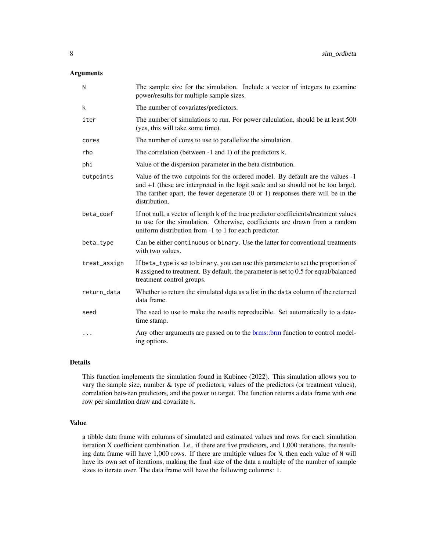#### <span id="page-7-0"></span>Arguments

| N            | The sample size for the simulation. Include a vector of integers to examine<br>power/results for multiple sample sizes.                                                                                                                                                              |
|--------------|--------------------------------------------------------------------------------------------------------------------------------------------------------------------------------------------------------------------------------------------------------------------------------------|
| k            | The number of covariates/predictors.                                                                                                                                                                                                                                                 |
| iter         | The number of simulations to run. For power calculation, should be at least 500<br>(yes, this will take some time).                                                                                                                                                                  |
| cores        | The number of cores to use to parallelize the simulation.                                                                                                                                                                                                                            |
| rho          | The correlation (between -1 and 1) of the predictors k.                                                                                                                                                                                                                              |
| phi          | Value of the dispersion parameter in the beta distribution.                                                                                                                                                                                                                          |
| cutpoints    | Value of the two cutpoints for the ordered model. By default are the values -1<br>and $+1$ (these are interpreted in the logit scale and so should not be too large).<br>The farther apart, the fewer degenerate $(0 \text{ or } 1)$ responses there will be in the<br>distribution. |
| beta_coef    | If not null, a vector of length k of the true predictor coefficients/treatment values<br>to use for the simulation. Otherwise, coefficients are drawn from a random<br>uniform distribution from -1 to 1 for each predictor.                                                         |
| beta_type    | Can be either continuous or binary. Use the latter for conventional treatments<br>with two values.                                                                                                                                                                                   |
| treat_assign | If beta_type is set to binary, you can use this parameter to set the proportion of<br>N assigned to treatment. By default, the parameter is set to 0.5 for equal/balanced<br>treatment control groups.                                                                               |
| return_data  | Whether to return the simulated dqta as a list in the data column of the returned<br>data frame.                                                                                                                                                                                     |
| seed         | The seed to use to make the results reproducible. Set automatically to a date-<br>time stamp.                                                                                                                                                                                        |
|              | Any other arguments are passed on to the brms::brm function to control model-<br>ing options.                                                                                                                                                                                        |

#### Details

This function implements the simulation found in Kubinec (2022). This simulation allows you to vary the sample size, number & type of predictors, values of the predictors (or treatment values), correlation between predictors, and the power to target. The function returns a data frame with one row per simulation draw and covariate k.

#### Value

a tibble data frame with columns of simulated and estimated values and rows for each simulation iteration X coefficient combination. I.e., if there are five predictors, and 1,000 iterations, the resulting data frame will have 1,000 rows. If there are multiple values for N, then each value of N will have its own set of iterations, making the final size of the data a multiple of the number of sample sizes to iterate over. The data frame will have the following columns: 1.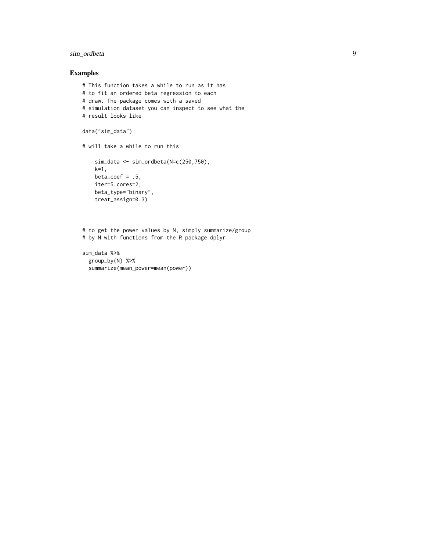#### sim\_ordbeta 9

#### Examples

```
# This function takes a while to run as it has
# to fit an ordered beta regression to each
# draw. The package comes with a saved
# simulation dataset you can inspect to see what the
# result looks like
data("sim_data")
# will take a while to run this
    sim_data <- sim_ordbeta(N=c(250,750),
    k=1,
    beta\_coef = .5,
    iter=5,cores=2,
    beta_type="binary",
    treat_assign=0.3)
```

```
# to get the power values by N, simply summarize/group
# by N with functions from the R package dplyr
```

```
sim_data %>%
 group_by(N) %>%
 summarize(mean_power=mean(power))
```